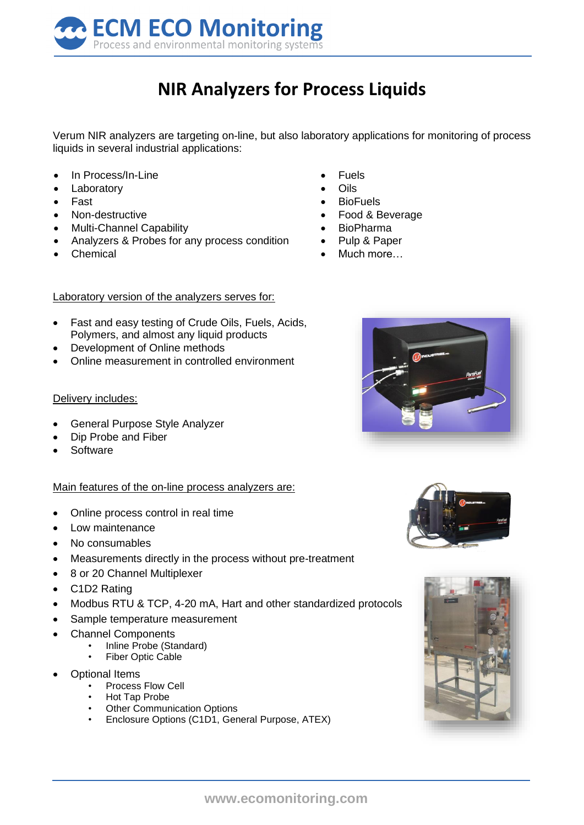

## **NIR Analyzers for Process Liquids**

Verum NIR analyzers are targeting on-line, but also laboratory applications for monitoring of process liquids in several industrial applications:

- In Process/In-Line
- **Laboratory**
- Fast
- Non-destructive
- Multi-Channel Capability
- Analyzers & Probes for any process condition
- Chemical
- **Fuels**
- **Oils**
- BioFuels
- Food & Beverage
- BioPharma
- Pulp & Paper
- Much more

## Laboratory version of the analyzers serves for:

- Fast and easy testing of Crude Oils, Fuels, Acids, Polymers, and almost any liquid products
- **Development of Online methods**
- Online measurement in controlled environment

## Delivery includes:

- General Purpose Style Analyzer
- Dip Probe and Fiber
- **Software**

## Main features of the on-line process analyzers are:

- Online process control in real time
- Low maintenance
- No consumables
- Measurements directly in the process without pre-treatment
- 8 or 20 Channel Multiplexer
- C1D2 Rating
- Modbus RTU & TCP, 4-20 mA, Hart and other standardized protocols
- Sample temperature measurement
- Channel Components
	- Inline Probe (Standard)
		- Fiber Optic Cable
- Optional Items
	- Process Flow Cell
	- Hot Tap Probe
	- **Other Communication Options**
	- Enclosure Options (C1D1, General Purpose, ATEX)